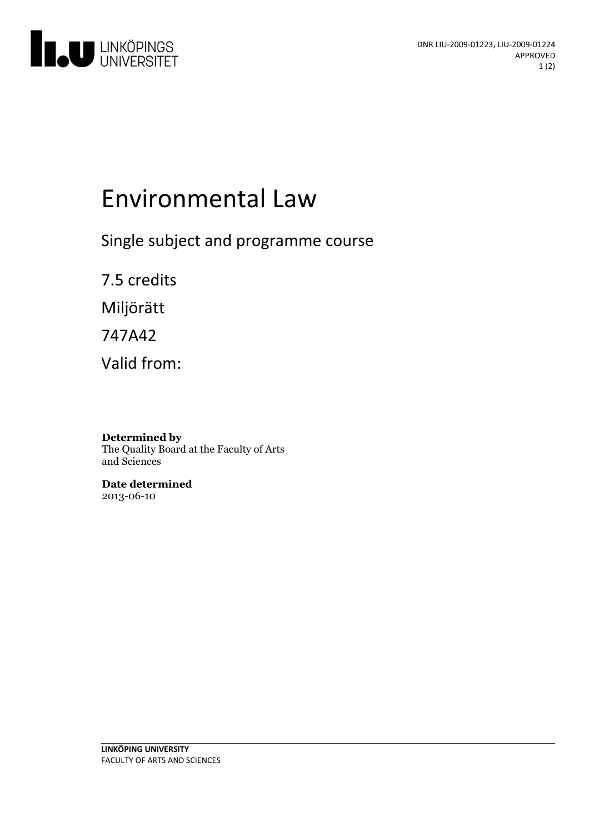

# Environmental Law

Single subject and programme course

7.5 credits

Miljörätt

747A42

Valid from:

**Determined by** The Quality Board at the Faculty of Arts and Sciences

**Date determined** 2013-06-10